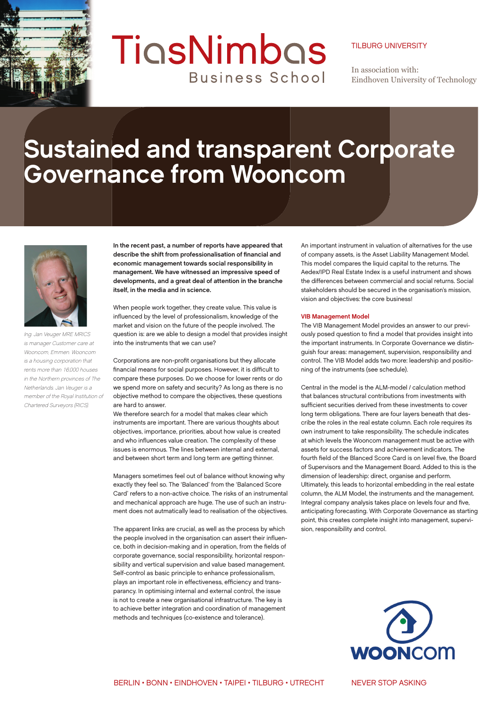

## TigsNimbas **Business School**

## TILBURG UNIVERSITY

In association with: Eindhoven University of Technology

## **Sustained and transparent Corporate Governance from Wooncom**



Ing. Jan Veuger MRE MRICS is manager Customer care at Wooncom, Emmen. Wooncom is a housing corporation that rents more than 16,000 houses in the Northern provinces of The Netherlands. Jan Veuger is a member of the Royal Institution of Chartered Surveyors (RICS).

**In the recent past, a number of reports have appeared that**  describe the shift from professionalisation of financial and **economic management towards social responsibility in management. We have witnessed an impressive speed of developments, and a great deal of attention in the branche itself, in the media and in science.**

When people work together, they create value. This value is influenced by the level of professionalism, knowledge of the market and vision on the future of the people involved. The question is: are we able to design a model that provides insight into the instruments that we can use?

Corporations are non-profit organisations but they allocate financial means for social purposes. However, it is difficult to compare these purposes. Do we choose for lower rents or do we spend more on safety and security? As long as there is no objective method to compare the objectives, these questions are hard to answer.

We therefore search for a model that makes clear which instruments are important. There are various thoughts about objectives, importance, priorities, about how value is created and who influences value creation. The complexity of these issues is enormous. The lines between internal and external, and between short term and long term are getting thinner.

Managers sometimes feel out of balance without knowing why exactly they feel so. The 'Balanced' from the 'Balanced Score Card' refers to a non-active choice. The risks of an instrumental and mechanical approach are huge. The use of such an instrument does not autmatically lead to realisation of the objectives.

The apparent links are crucial, as well as the process by which the people involved in the organisation can assert their influence, both in decision-making and in operation, from the fields of corporate governance, social responsibility, horizontal responsibility and vertical supervision and value based management. Self-control as basic principle to enhance professionalism, plays an important role in effectiveness, efficiency and transparancy. In optimising internal and external control, the issue is not to create a new organisational infrastructure. The key is to achieve better integration and coordination of management methods and techniques (co-existence and tolerance).

An important instrument in valuation of alternatives for the use of company assets, is the Asset Liability Management Model. This model compares the liquid capital to the returns. The Aedex/IPD Real Estate Index is a useful instrument and shows the differences between commercial and social returns. Social stakeholders should be secured in the organisation's mission, vision and objectives: the core business!

## **VIB Management Model**

The VIB Management Model provides an answer to our previously posed question to find a model that provides insight into the important instruments. In Corporate Governance we distinguish four areas: management, supervision, responsibility and control. The VIB Model adds two more: leadership and positioning of the instruments (see schedule).

Central in the model is the ALM-model / calculation method that balances structural contributions from investments with sufficient securities derived from these investments to cover long term obligations. There are four layers beneath that describe the roles in the real estate column. Each role requires its own instrument to take responsibility. The schedule indicates at which levels the Wooncom management must be active with assets for success factors and achievement indicators. The fourth field of the Blanced Score Card is on level five, the Board of Supervisors and the Management Board. Added to this is the dimension of leadership: direct, organise and perform. Ultimately, this leads to horizontal embedding in the real estate column, the ALM Model, the instruments and the management. Integral company analysis takes place on levels four and five. anticipating forecasting. With Corporate Governance as starting point, this creates complete insight into management, supervision, responsibility and control.